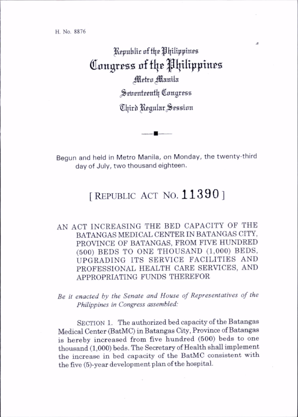## Republic of the Philippines Congress of the Philippines Metro Manila Seirenteenth Congress Third Regular Session

Begun and held in Metro Manila, on Monday, the twenty-third day of July, two thousand eighteen.

## [REPUBLIC ACT NO.  $11390$ ]

AN ACT INCREASING THE BED CAPACITY OF THE BATANGAS MEDICAL CENTER IN BATANGAS CITY, PROVINCE OF BATANGAS. FROM FIVE HUNDRED (500) BEDS TO ONE THOUSAND (1,000) BEDS, UPGRADING ITS SERVICE FACILITIES AND PROFESSIONAL HEALTH CARE SERVICES. AND APPROPRIATING FUNDS THEREFOR

Be it enacted by the Senate and House of Representatives of the Philippines in Congress assembled:

SECTION 1. The authorized bed capacity of the Batangas Medical Center (BatMC) in Batangas City, Province of Batangas is hereby increased from five hundred (500) beds to one thousand (1,000) beds. The Secretary of Health shall implement the increase in bed capacity of the BatMC consistent with the five (5)-year development plan of the hospital.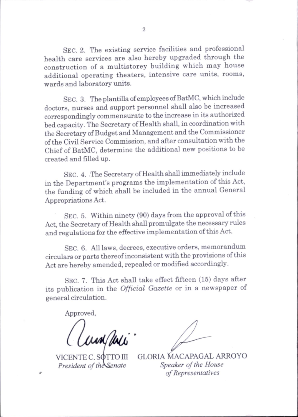Sec. 2. The existing service facilities and professional health care services are also hereby upgraded through the construction of a multistorey building which may house additional operating theaters, intensive care units, rooms, wards and laboratory units.

Sec. 3. The plantilla of employees of BatMC, which include doctors, nurses and support personnel shall also be increased correspondingly commensurate to the increase in its authorized bed capacity. The Secretary of Health shall, in coordination with the Secretary of Budget and Management and the Commissioner of the Civil Service Commission, and after consultation with the Chief of BatMC, determine the additional new positions to be created and filled up.

Sec. 4. The Secretary of Health shall immediately include in the Department's programs the implementation of this Act, the funding of which shall be included in the annual General Appropriations Act.

Sec. 5. Within ninety (90) days from the approval of this Act, the Secretary of Health shall promulgate the necessary rules and regulations for the effective implementation of this Act.

Sec. 6. All laws, decrees, executive orders, memorandum circulars or parts thereof inconsistent with the provisions of this Act are hereby amended, repealed or modified accordingly.

SEC. 7. This Act shall take effect fifteen (15) days after its publication in the Official Gazette or in a newspaper of general circulation.

Approved,

aunpui.

VICENTE C. SOTTO III President of the Senate

GLORIA MACAPAGAL ARROYO Speaker of the House of Representatives